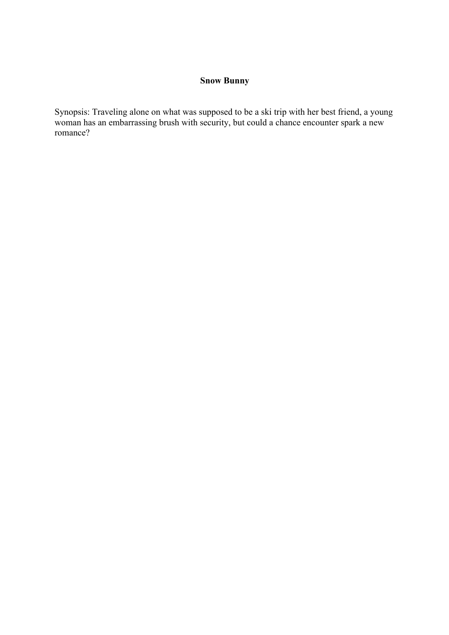## **Snow Bunny**

Synopsis: Traveling alone on what was supposed to be a ski trip with her best friend, a young woman has an embarrassing brush with security, but could a chance encounter spark a new romance?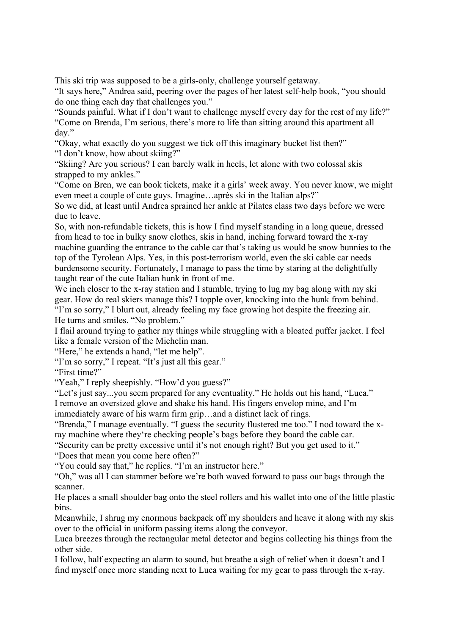This ski trip was supposed to be a girls-only, challenge yourself getaway.

"It says here," Andrea said, peering over the pages of her latest self-help book, "you should do one thing each day that challenges you."

"Sounds painful. What if I don't want to challenge myself every day for the rest of my life?" "Come on Brenda, I'm serious, there's more to life than sitting around this apartment all day."

"Okay, what exactly do you suggest we tick off this imaginary bucket list then?" "I don't know, how about skiing?"

"Skiing? Are you serious? I can barely walk in heels, let alone with two colossal skis strapped to my ankles."

"Come on Bren, we can book tickets, make it a girls' week away. You never know, we might even meet a couple of cute guys. Imagine…après ski in the Italian alps?"

So we did, at least until Andrea sprained her ankle at Pilates class two days before we were due to leave.

So, with non-refundable tickets, this is how I find myself standing in a long queue, dressed from head to toe in bulky snow clothes, skis in hand, inching forward toward the x-ray machine guarding the entrance to the cable car that's taking us would be snow bunnies to the top of the Tyrolean Alps. Yes, in this post-terrorism world, even the ski cable car needs burdensome security. Fortunately, I manage to pass the time by staring at the delightfully taught rear of the cute Italian hunk in front of me.

We inch closer to the x-ray station and I stumble, trying to lug my bag along with my ski gear. How do real skiers manage this? I topple over, knocking into the hunk from behind. "I'm so sorry," I blurt out, already feeling my face growing hot despite the freezing air. He turns and smiles. "No problem."

I flail around trying to gather my things while struggling with a bloated puffer jacket. I feel like a female version of the Michelin man.

"Here," he extends a hand, "let me help".

"I'm so sorry," I repeat. "It's just all this gear."

"First time?"

"Yeah," I reply sheepishly. "How'd you guess?"

"Let's just say...you seem prepared for any eventuality." He holds out his hand, "Luca." I remove an oversized glove and shake his hand. His fingers envelop mine, and I'm immediately aware of his warm firm grip…and a distinct lack of rings.

"Brenda," I manage eventually. "I guess the security flustered me too." I nod toward the xray machine where they're checking people's bags before they board the cable car.

"Security can be pretty excessive until it's not enough right? But you get used to it."

"Does that mean you come here often?"

"You could say that," he replies. "I'm an instructor here."

"Oh," was all I can stammer before we're both waved forward to pass our bags through the scanner.

He places a small shoulder bag onto the steel rollers and his wallet into one of the little plastic bins.

Meanwhile, I shrug my enormous backpack off my shoulders and heave it along with my skis over to the official in uniform passing items along the conveyor.

Luca breezes through the rectangular metal detector and begins collecting his things from the other side.

I follow, half expecting an alarm to sound, but breathe a sigh of relief when it doesn't and I find myself once more standing next to Luca waiting for my gear to pass through the x-ray.